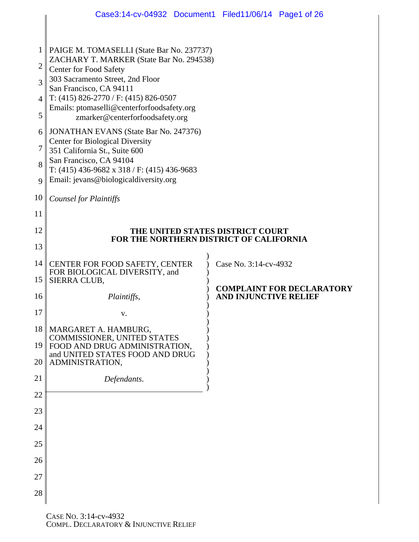|                     | Case3:14-cv-04932 Document1 Filed11/06/14 Page1 of 26                                                                                               |  |                       |                                  |  |  |  |  |
|---------------------|-----------------------------------------------------------------------------------------------------------------------------------------------------|--|-----------------------|----------------------------------|--|--|--|--|
|                     |                                                                                                                                                     |  |                       |                                  |  |  |  |  |
| 1<br>$\overline{2}$ | PAIGE M. TOMASELLI (State Bar No. 237737)<br>ZACHARY T. MARKER (State Bar No. 294538)<br>Center for Food Safety<br>303 Sacramento Street, 2nd Floor |  |                       |                                  |  |  |  |  |
| 3                   |                                                                                                                                                     |  |                       |                                  |  |  |  |  |
| $\overline{4}$      | San Francisco, CA 94111<br>T: $(415)$ 826-2770 / F: $(415)$ 826-0507                                                                                |  |                       |                                  |  |  |  |  |
| 5                   | Emails: ptomaselli@centerforfoodsafety.org<br>zmarker@centerforfoodsafety.org                                                                       |  |                       |                                  |  |  |  |  |
| 6                   | <b>JONATHAN EVANS</b> (State Bar No. 247376)<br><b>Center for Biological Diversity</b><br>351 California St., Suite 600                             |  |                       |                                  |  |  |  |  |
| 7                   |                                                                                                                                                     |  |                       |                                  |  |  |  |  |
| 8                   | San Francisco, CA 94104<br>T: $(415)$ 436-9682 x 318 / F: $(415)$ 436-9683                                                                          |  |                       |                                  |  |  |  |  |
| $\mathbf Q$         | Email: jevans@biologicaldiversity.org                                                                                                               |  |                       |                                  |  |  |  |  |
| 10                  | <b>Counsel for Plaintiffs</b>                                                                                                                       |  |                       |                                  |  |  |  |  |
| 11                  |                                                                                                                                                     |  |                       |                                  |  |  |  |  |
| 12                  | THE UNITED STATES DISTRICT COURT<br>FOR THE NORTHERN DISTRICT OF CALIFORNIA                                                                         |  |                       |                                  |  |  |  |  |
| 13                  |                                                                                                                                                     |  |                       |                                  |  |  |  |  |
| 14                  | CENTER FOR FOOD SAFETY, CENTER<br>FOR BIOLOGICAL DIVERSITY, and                                                                                     |  | Case No. 3:14-cv-4932 |                                  |  |  |  |  |
| 15                  | SIERRA CLUB,                                                                                                                                        |  |                       | <b>COMPLAINT FOR DECLARATORY</b> |  |  |  |  |
| 16                  | Plaintiffs,                                                                                                                                         |  |                       | <b>AND INJUNCTIVE RELIEF</b>     |  |  |  |  |
| 17                  | v.                                                                                                                                                  |  |                       |                                  |  |  |  |  |
| 18                  | MARGARET A. HAMBURG,<br>COMMISSIONER, UNITED STATES                                                                                                 |  |                       |                                  |  |  |  |  |
| 19                  | FOOD AND DRUG ADMINISTRATION,<br>and UNITED STATES FOOD AND DRUG                                                                                    |  |                       |                                  |  |  |  |  |
| 20                  | ADMINISTRATION,                                                                                                                                     |  |                       |                                  |  |  |  |  |
| 21                  | Defendants.                                                                                                                                         |  |                       |                                  |  |  |  |  |
| 22                  |                                                                                                                                                     |  |                       |                                  |  |  |  |  |
| 23<br>24            |                                                                                                                                                     |  |                       |                                  |  |  |  |  |
| 25                  |                                                                                                                                                     |  |                       |                                  |  |  |  |  |
| 26                  |                                                                                                                                                     |  |                       |                                  |  |  |  |  |
| 27                  |                                                                                                                                                     |  |                       |                                  |  |  |  |  |
| 28                  |                                                                                                                                                     |  |                       |                                  |  |  |  |  |
|                     |                                                                                                                                                     |  |                       |                                  |  |  |  |  |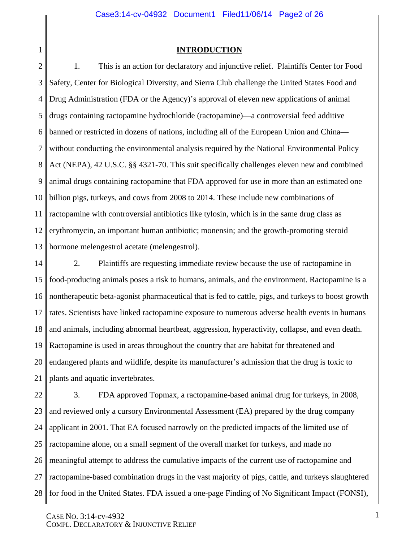# **INTRODUCTION**

1

2 3 4 5 6 7 8 9 10 11 12 13 1. This is an action for declaratory and injunctive relief. Plaintiffs Center for Food Safety, Center for Biological Diversity, and Sierra Club challenge the United States Food and Drug Administration (FDA or the Agency)'s approval of eleven new applications of animal drugs containing ractopamine hydrochloride (ractopamine)—a controversial feed additive banned or restricted in dozens of nations, including all of the European Union and China without conducting the environmental analysis required by the National Environmental Policy Act (NEPA), 42 U.S.C. §§ 4321-70. This suit specifically challenges eleven new and combined animal drugs containing ractopamine that FDA approved for use in more than an estimated one billion pigs, turkeys, and cows from 2008 to 2014. These include new combinations of ractopamine with controversial antibiotics like tylosin, which is in the same drug class as erythromycin, an important human antibiotic; monensin; and the growth-promoting steroid hormone melengestrol acetate (melengestrol).

14 15 16 17 18 19 20 21 2. Plaintiffs are requesting immediate review because the use of ractopamine in food-producing animals poses a risk to humans, animals, and the environment. Ractopamine is a nontherapeutic beta-agonist pharmaceutical that is fed to cattle, pigs, and turkeys to boost growth rates. Scientists have linked ractopamine exposure to numerous adverse health events in humans and animals, including abnormal heartbeat, aggression, hyperactivity, collapse, and even death. Ractopamine is used in areas throughout the country that are habitat for threatened and endangered plants and wildlife, despite its manufacturer's admission that the drug is toxic to plants and aquatic invertebrates.

22 23 24 25 26 27 28 3. FDA approved Topmax, a ractopamine-based animal drug for turkeys, in 2008, and reviewed only a cursory Environmental Assessment (EA) prepared by the drug company applicant in 2001. That EA focused narrowly on the predicted impacts of the limited use of ractopamine alone, on a small segment of the overall market for turkeys, and made no meaningful attempt to address the cumulative impacts of the current use of ractopamine and ractopamine-based combination drugs in the vast majority of pigs, cattle, and turkeys slaughtered for food in the United States. FDA issued a one-page Finding of No Significant Impact (FONSI),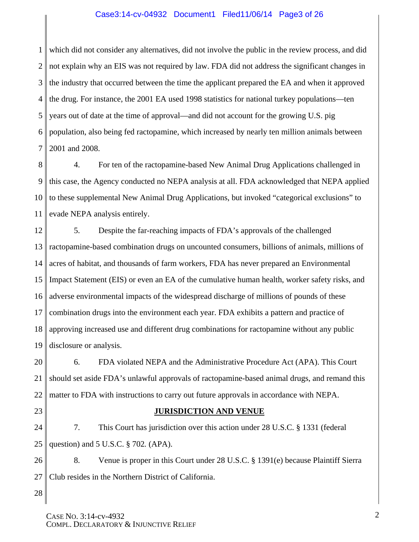#### Case3:14-cv-04932 Document1 Filed11/06/14 Page3 of 26

1 2 3 4 5 6 7 which did not consider any alternatives, did not involve the public in the review process, and did not explain why an EIS was not required by law. FDA did not address the significant changes in the industry that occurred between the time the applicant prepared the EA and when it approved the drug. For instance, the 2001 EA used 1998 statistics for national turkey populations—ten years out of date at the time of approval—and did not account for the growing U.S. pig population, also being fed ractopamine, which increased by nearly ten million animals between 2001 and 2008.

8 9 10 11 4. For ten of the ractopamine-based New Animal Drug Applications challenged in this case, the Agency conducted no NEPA analysis at all. FDA acknowledged that NEPA applied to these supplemental New Animal Drug Applications, but invoked "categorical exclusions" to evade NEPA analysis entirely.

12 13 14 15 16 17 18 19 5. Despite the far-reaching impacts of FDA's approvals of the challenged ractopamine-based combination drugs on uncounted consumers, billions of animals, millions of acres of habitat, and thousands of farm workers, FDA has never prepared an Environmental Impact Statement (EIS) or even an EA of the cumulative human health, worker safety risks, and adverse environmental impacts of the widespread discharge of millions of pounds of these combination drugs into the environment each year. FDA exhibits a pattern and practice of approving increased use and different drug combinations for ractopamine without any public disclosure or analysis.

20 21 22 6. FDA violated NEPA and the Administrative Procedure Act (APA). This Court should set aside FDA's unlawful approvals of ractopamine-based animal drugs, and remand this matter to FDA with instructions to carry out future approvals in accordance with NEPA.

23

#### **JURISDICTION AND VENUE**

24 25 7. This Court has jurisdiction over this action under 28 U.S.C. § 1331 (federal question) and 5 U.S.C. § 702*.* (APA).

26 27 8. Venue is proper in this Court under 28 U.S.C. § 1391(e) because Plaintiff Sierra Club resides in the Northern District of California.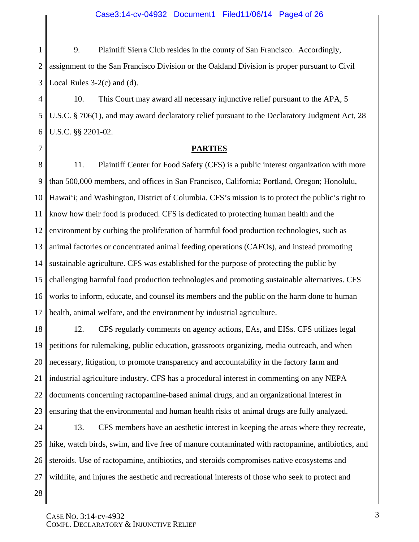1 2 3 9. Plaintiff Sierra Club resides in the county of San Francisco. Accordingly, assignment to the San Francisco Division or the Oakland Division is proper pursuant to Civil Local Rules 3-2(c) and (d).

4 5 6 10. This Court may award all necessary injunctive relief pursuant to the APA, 5 U.S.C. § 706(1), and may award declaratory relief pursuant to the Declaratory Judgment Act, 28 U.S.C. §§ 2201-02.

#### **PARTIES**

8 9 10 11 12 13 14 15 16 17 11. Plaintiff Center for Food Safety (CFS) is a public interest organization with more than 500,000 members, and offices in San Francisco, California; Portland, Oregon; Honolulu, Hawai'i; and Washington, District of Columbia. CFS's mission is to protect the public's right to know how their food is produced. CFS is dedicated to protecting human health and the environment by curbing the proliferation of harmful food production technologies, such as animal factories or concentrated animal feeding operations (CAFOs), and instead promoting sustainable agriculture. CFS was established for the purpose of protecting the public by challenging harmful food production technologies and promoting sustainable alternatives. CFS works to inform, educate, and counsel its members and the public on the harm done to human health, animal welfare, and the environment by industrial agriculture.

18 19 20 21 22 23 12. CFS regularly comments on agency actions, EAs, and EISs. CFS utilizes legal petitions for rulemaking, public education, grassroots organizing, media outreach, and when necessary, litigation, to promote transparency and accountability in the factory farm and industrial agriculture industry. CFS has a procedural interest in commenting on any NEPA documents concerning ractopamine-based animal drugs, and an organizational interest in ensuring that the environmental and human health risks of animal drugs are fully analyzed.

24 25 26 27 13. CFS members have an aesthetic interest in keeping the areas where they recreate, hike, watch birds, swim, and live free of manure contaminated with ractopamine, antibiotics, and steroids. Use of ractopamine, antibiotics, and steroids compromises native ecosystems and wildlife, and injures the aesthetic and recreational interests of those who seek to protect and

28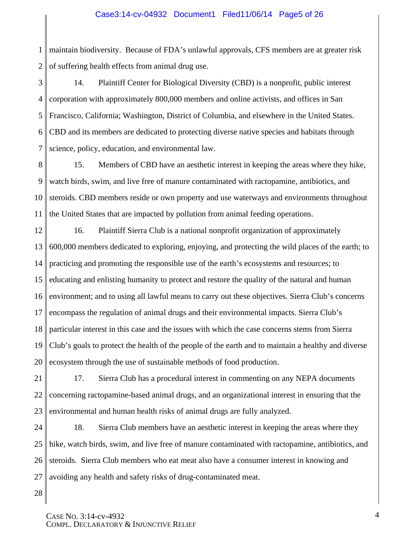1 2 maintain biodiversity. Because of FDA's unlawful approvals, CFS members are at greater risk of suffering health effects from animal drug use.

3 4 5 6 7 14. Plaintiff Center for Biological Diversity (CBD) is a nonprofit, public interest corporation with approximately 800,000 members and online activists, and offices in San Francisco, California; Washington, District of Columbia, and elsewhere in the United States. CBD and its members are dedicated to protecting diverse native species and habitats through science, policy, education, and environmental law.

8 9 10 11 15. Members of CBD have an aesthetic interest in keeping the areas where they hike, watch birds, swim, and live free of manure contaminated with ractopamine, antibiotics, and steroids. CBD members reside or own property and use waterways and environments throughout the United States that are impacted by pollution from animal feeding operations.

12 13 14 15 16 17 18 19 20 16. Plaintiff Sierra Club is a national nonprofit organization of approximately 600,000 members dedicated to exploring, enjoying, and protecting the wild places of the earth; to practicing and promoting the responsible use of the earth's ecosystems and resources; to educating and enlisting humanity to protect and restore the quality of the natural and human environment; and to using all lawful means to carry out these objectives. Sierra Club's concerns encompass the regulation of animal drugs and their environmental impacts. Sierra Club's particular interest in this case and the issues with which the case concerns stems from Sierra Club's goals to protect the health of the people of the earth and to maintain a healthy and diverse ecosystem through the use of sustainable methods of food production.

21 22 23 17. Sierra Club has a procedural interest in commenting on any NEPA documents concerning ractopamine-based animal drugs, and an organizational interest in ensuring that the environmental and human health risks of animal drugs are fully analyzed.

24 25 26 27 18. Sierra Club members have an aesthetic interest in keeping the areas where they hike, watch birds, swim, and live free of manure contaminated with ractopamine, antibiotics, and steroids. Sierra Club members who eat meat also have a consumer interest in knowing and avoiding any health and safety risks of drug-contaminated meat.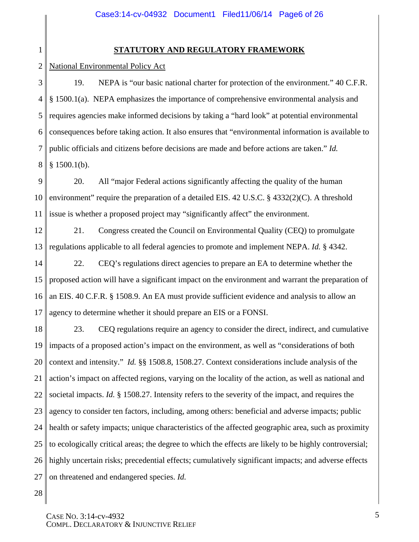1

# **STATUTORY AND REGULATORY FRAMEWORK**

2 National Environmental Policy Act

3 4 5 6 7 8 19. NEPA is "our basic national charter for protection of the environment." 40 C.F.R. § 1500.1(a). NEPA emphasizes the importance of comprehensive environmental analysis and requires agencies make informed decisions by taking a "hard look" at potential environmental consequences before taking action. It also ensures that "environmental information is available to public officials and citizens before decisions are made and before actions are taken." *Id.*  $§ 1500.1(b).$ 

9 10 11 20. All "major Federal actions significantly affecting the quality of the human environment" require the preparation of a detailed EIS. 42 U.S.C. § 4332(2)(C). A threshold issue is whether a proposed project may "significantly affect" the environment.

12 13 21. Congress created the Council on Environmental Quality (CEQ) to promulgate regulations applicable to all federal agencies to promote and implement NEPA. *Id.* § 4342.

14 15 16 17 22. CEQ's regulations direct agencies to prepare an EA to determine whether the proposed action will have a significant impact on the environment and warrant the preparation of an EIS. 40 C.F.R. § 1508.9. An EA must provide sufficient evidence and analysis to allow an agency to determine whether it should prepare an EIS or a FONSI.

18 19 20 21 22 23 24 25 26 27 23. CEQ regulations require an agency to consider the direct, indirect, and cumulative impacts of a proposed action's impact on the environment, as well as "considerations of both context and intensity." *Id.* §§ 1508.8, 1508.27. Context considerations include analysis of the action's impact on affected regions, varying on the locality of the action, as well as national and societal impacts. *Id.* § 1508.27. Intensity refers to the severity of the impact, and requires the agency to consider ten factors, including, among others: beneficial and adverse impacts; public health or safety impacts; unique characteristics of the affected geographic area, such as proximity to ecologically critical areas; the degree to which the effects are likely to be highly controversial; highly uncertain risks; precedential effects; cumulatively significant impacts; and adverse effects on threatened and endangered species. *Id.*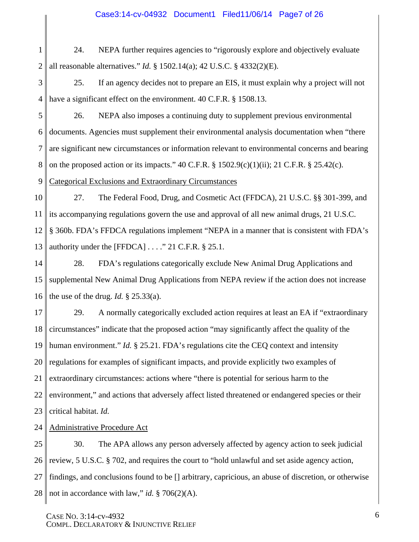#### Case3:14-cv-04932 Document1 Filed11/06/14 Page7 of 26

1 2 24. NEPA further requires agencies to "rigorously explore and objectively evaluate all reasonable alternatives." *Id.* § 1502.14(a); 42 U.S.C. § 4332(2)(E).

3 4 25. If an agency decides not to prepare an EIS, it must explain why a project will not have a significant effect on the environment. 40 C.F.R. § 1508.13.

5 6 7 8 26. NEPA also imposes a continuing duty to supplement previous environmental documents. Agencies must supplement their environmental analysis documentation when "there are significant new circumstances or information relevant to environmental concerns and bearing on the proposed action or its impacts."  $40 \text{ C.F.R.}$  §  $1502.9(c)(1)(ii)$ ; 21 C.F.R. § 25.42(c).

9 Categorical Exclusions and Extraordinary Circumstances

10 11 12 13 27. The Federal Food, Drug, and Cosmetic Act (FFDCA), 21 U.S.C. §§ 301-399, and its accompanying regulations govern the use and approval of all new animal drugs, 21 U.S.C. § 360b. FDA's FFDCA regulations implement "NEPA in a manner that is consistent with FDA's authority under the [FFDCA] . . . ." 21 C.F.R. § 25.1.

14 15 16 28. FDA's regulations categorically exclude New Animal Drug Applications and supplemental New Animal Drug Applications from NEPA review if the action does not increase the use of the drug. *Id.*  $\S$  25.33(a).

17 18 19 20 21 22 23 29. A normally categorically excluded action requires at least an EA if "extraordinary circumstances" indicate that the proposed action "may significantly affect the quality of the human environment." *Id.* § 25.21. FDA's regulations cite the CEQ context and intensity regulations for examples of significant impacts, and provide explicitly two examples of extraordinary circumstances: actions where "there is potential for serious harm to the environment," and actions that adversely affect listed threatened or endangered species or their critical habitat. *Id.* 

24 Administrative Procedure Act

25 26 27 28 30. The APA allows any person adversely affected by agency action to seek judicial review, 5 U.S.C. § 702, and requires the court to "hold unlawful and set aside agency action, findings, and conclusions found to be [] arbitrary, capricious, an abuse of discretion, or otherwise not in accordance with law," *id.* § 706(2)(A).

CASE NO. 3:14-cv-4932 COMPL. DECLARATORY & INJUNCTIVE RELIEF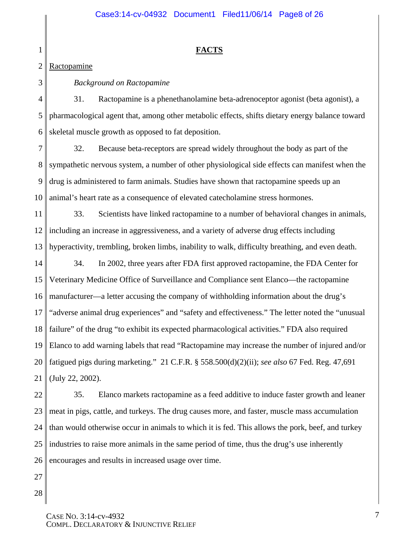# **FACTS**

#### 2 Ractopamine

1

3

# *Background on Ractopamine*

4 5 6 31. Ractopamine is a phenethanolamine beta-adrenoceptor agonist (beta agonist), a pharmacological agent that, among other metabolic effects, shifts dietary energy balance toward skeletal muscle growth as opposed to fat deposition.

7 8 9 10 32. Because beta-receptors are spread widely throughout the body as part of the sympathetic nervous system, a number of other physiological side effects can manifest when the drug is administered to farm animals. Studies have shown that ractopamine speeds up an animal's heart rate as a consequence of elevated catecholamine stress hormones.

11 12 13 33. Scientists have linked ractopamine to a number of behavioral changes in animals, including an increase in aggressiveness, and a variety of adverse drug effects including hyperactivity, trembling, broken limbs, inability to walk, difficulty breathing, and even death.

14 15 16 17 18 19 20 21 34. In 2002, three years after FDA first approved ractopamine, the FDA Center for Veterinary Medicine Office of Surveillance and Compliance sent Elanco—the ractopamine manufacturer—a letter accusing the company of withholding information about the drug's "adverse animal drug experiences" and "safety and effectiveness." The letter noted the "unusual failure" of the drug "to exhibit its expected pharmacological activities." FDA also required Elanco to add warning labels that read "Ractopamine may increase the number of injured and/or fatigued pigs during marketing." 21 C.F.R. § 558.500(d)(2)(ii); *see also* 67 Fed. Reg. 47,691 (July 22, 2002).

22 23 24 25 26 35. Elanco markets ractopamine as a feed additive to induce faster growth and leaner meat in pigs, cattle, and turkeys. The drug causes more, and faster, muscle mass accumulation than would otherwise occur in animals to which it is fed. This allows the pork, beef, and turkey industries to raise more animals in the same period of time, thus the drug's use inherently encourages and results in increased usage over time.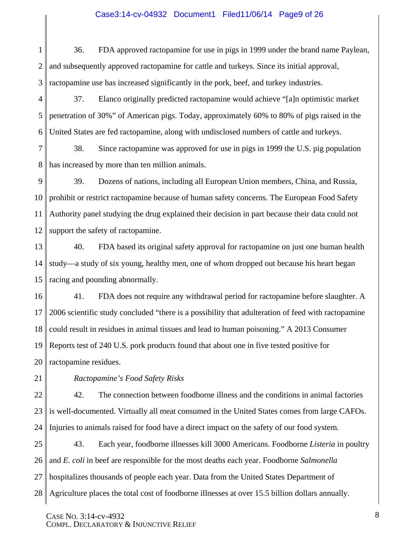## Case3:14-cv-04932 Document1 Filed11/06/14 Page9 of 26

1 2 3 36. FDA approved ractopamine for use in pigs in 1999 under the brand name Paylean, and subsequently approved ractopamine for cattle and turkeys. Since its initial approval, ractopamine use has increased significantly in the pork, beef, and turkey industries.

4 5 6 37. Elanco originally predicted ractopamine would achieve "[a]n optimistic market penetration of 30%" of American pigs. Today, approximately 60% to 80% of pigs raised in the United States are fed ractopamine, along with undisclosed numbers of cattle and turkeys.

7 8 38. Since ractopamine was approved for use in pigs in 1999 the U.S. pig population has increased by more than ten million animals.

9 10 11 12 39. Dozens of nations, including all European Union members, China, and Russia, prohibit or restrict ractopamine because of human safety concerns. The European Food Safety Authority panel studying the drug explained their decision in part because their data could not support the safety of ractopamine.

13 14 15 40. FDA based its original safety approval for ractopamine on just one human health study—a study of six young, healthy men, one of whom dropped out because his heart began racing and pounding abnormally.

16 17 18 19 20 41. FDA does not require any withdrawal period for ractopamine before slaughter. A 2006 scientific study concluded "there is a possibility that adulteration of feed with ractopamine could result in residues in animal tissues and lead to human poisoning." A 2013 Consumer Reports test of 240 U.S. pork products found that about one in five tested positive for ractopamine residues.

21

*Ractopamine's Food Safety Risks* 

22 23 24 42. The connection between foodborne illness and the conditions in animal factories is well-documented. Virtually all meat consumed in the United States comes from large CAFOs. Injuries to animals raised for food have a direct impact on the safety of our food system.

25 26 27 28 43. Each year, foodborne illnesses kill 3000 Americans. Foodborne *Listeria* in poultry and *E. coli* in beef are responsible for the most deaths each year. Foodborne *Salmonella* hospitalizes thousands of people each year. Data from the United States Department of Agriculture places the total cost of foodborne illnesses at over 15.5 billion dollars annually.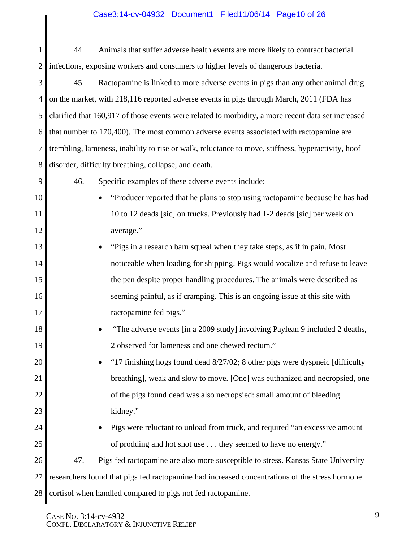# Case3:14-cv-04932 Document1 Filed11/06/14 Page10 of 26

| $1 \parallel$ | 44. | Animals that suffer adverse health events are more likely to contract bacterial                  |
|---------------|-----|--------------------------------------------------------------------------------------------------|
|               |     | $2 \parallel$ infections, exposing workers and consumers to higher levels of dangerous bacteria. |

3 4 5 6 7 8 45. Ractopamine is linked to more adverse events in pigs than any other animal drug on the market, with 218,116 reported adverse events in pigs through March, 2011 (FDA has clarified that 160,917 of those events were related to morbidity, a more recent data set increased that number to 170,400). The most common adverse events associated with ractopamine are trembling, lameness, inability to rise or walk, reluctance to move, stiffness, hyperactivity, hoof disorder, difficulty breathing, collapse, and death.

9

10

11

12

13

14

15

16

17

18

19

20

21

22

23

24

25

- 46. Specific examples of these adverse events include:
	- "Producer reported that he plans to stop using ractopamine because he has had 10 to 12 deads [sic] on trucks. Previously had 1-2 deads [sic] per week on average."
- "Pigs in a research barn squeal when they take steps, as if in pain. Most noticeable when loading for shipping. Pigs would vocalize and refuse to leave the pen despite proper handling procedures. The animals were described as seeming painful, as if cramping. This is an ongoing issue at this site with ractopamine fed pigs."
	- "The adverse events [in a 2009 study] involving Paylean 9 included 2 deaths, 2 observed for lameness and one chewed rectum."
- "17 finishing hogs found dead 8/27/02; 8 other pigs were dyspneic [difficulty breathing], weak and slow to move. [One] was euthanized and necropsied, one of the pigs found dead was also necropsied: small amount of bleeding kidney."
	- Pigs were reluctant to unload from truck, and required "an excessive amount of prodding and hot shot use . . . they seemed to have no energy."

#### 26 27 28 47. Pigs fed ractopamine are also more susceptible to stress. Kansas State University researchers found that pigs fed ractopamine had increased concentrations of the stress hormone cortisol when handled compared to pigs not fed ractopamine.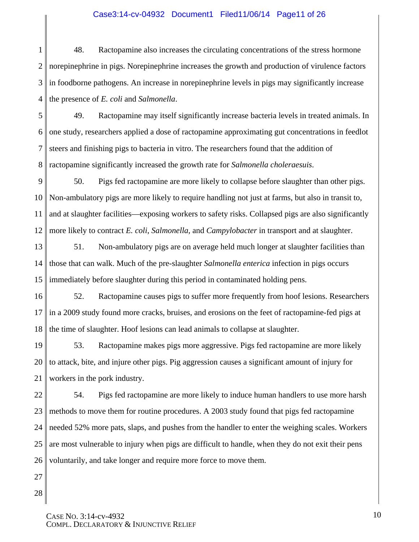#### Case3:14-cv-04932 Document1 Filed11/06/14 Page11 of 26

1 2 3 4 48. Ractopamine also increases the circulating concentrations of the stress hormone norepinephrine in pigs. Norepinephrine increases the growth and production of virulence factors in foodborne pathogens. An increase in norepinephrine levels in pigs may significantly increase the presence of *E. coli* and *Salmonella*.

5 6 7 8 49. Ractopamine may itself significantly increase bacteria levels in treated animals. In one study, researchers applied a dose of ractopamine approximating gut concentrations in feedlot steers and finishing pigs to bacteria in vitro. The researchers found that the addition of ractopamine significantly increased the growth rate for *Salmonella choleraesuis*.

9 10 11 12 50. Pigs fed ractopamine are more likely to collapse before slaughter than other pigs. Non-ambulatory pigs are more likely to require handling not just at farms, but also in transit to, and at slaughter facilities—exposing workers to safety risks. Collapsed pigs are also significantly more likely to contract *E. coli*, *Salmonella*, and *Campylobacter* in transport and at slaughter.

13 14 15 51. Non-ambulatory pigs are on average held much longer at slaughter facilities than those that can walk. Much of the pre-slaughter *Salmonella enterica* infection in pigs occurs immediately before slaughter during this period in contaminated holding pens.

16 17 18 52. Ractopamine causes pigs to suffer more frequently from hoof lesions. Researchers in a 2009 study found more cracks, bruises, and erosions on the feet of ractopamine-fed pigs at the time of slaughter. Hoof lesions can lead animals to collapse at slaughter.

19 20 21 53. Ractopamine makes pigs more aggressive. Pigs fed ractopamine are more likely to attack, bite, and injure other pigs. Pig aggression causes a significant amount of injury for workers in the pork industry.

22 23 24 25 26 54. Pigs fed ractopamine are more likely to induce human handlers to use more harsh methods to move them for routine procedures. A 2003 study found that pigs fed ractopamine needed 52% more pats, slaps, and pushes from the handler to enter the weighing scales. Workers are most vulnerable to injury when pigs are difficult to handle, when they do not exit their pens voluntarily, and take longer and require more force to move them.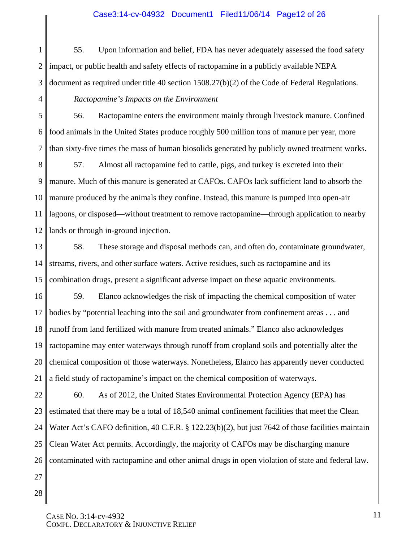#### Case3:14-cv-04932 Document1 Filed11/06/14 Page12 of 26

1 2 3 55. Upon information and belief, FDA has never adequately assessed the food safety impact, or public health and safety effects of ractopamine in a publicly available NEPA document as required under title 40 section 1508.27(b)(2) of the Code of Federal Regulations.

#### *Ractopamine's Impacts on the Environment*

5 6 7 56. Ractopamine enters the environment mainly through livestock manure. Confined food animals in the United States produce roughly 500 million tons of manure per year, more than sixty-five times the mass of human biosolids generated by publicly owned treatment works.

8 9 10 11 12 57. Almost all ractopamine fed to cattle, pigs, and turkey is excreted into their manure. Much of this manure is generated at CAFOs. CAFOs lack sufficient land to absorb the manure produced by the animals they confine. Instead, this manure is pumped into open-air lagoons, or disposed—without treatment to remove ractopamine—through application to nearby lands or through in-ground injection.

13 14 15 58. These storage and disposal methods can, and often do, contaminate groundwater, streams, rivers, and other surface waters. Active residues, such as ractopamine and its combination drugs, present a significant adverse impact on these aquatic environments.

16 17 18 19 20 21 59. Elanco acknowledges the risk of impacting the chemical composition of water bodies by "potential leaching into the soil and groundwater from confinement areas . . . and runoff from land fertilized with manure from treated animals." Elanco also acknowledges ractopamine may enter waterways through runoff from cropland soils and potentially alter the chemical composition of those waterways. Nonetheless, Elanco has apparently never conducted a field study of ractopamine's impact on the chemical composition of waterways.

22 23 24 25 26 27 60. As of 2012, the United States Environmental Protection Agency (EPA) has estimated that there may be a total of 18,540 animal confinement facilities that meet the Clean Water Act's CAFO definition, 40 C.F.R. § 122.23(b)(2), but just 7642 of those facilities maintain Clean Water Act permits. Accordingly, the majority of CAFOs may be discharging manure contaminated with ractopamine and other animal drugs in open violation of state and federal law.

28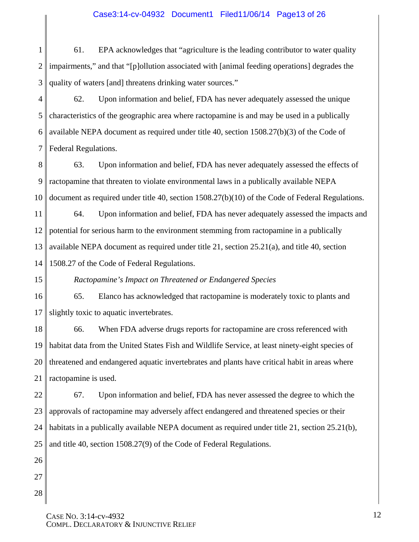## Case3:14-cv-04932 Document1 Filed11/06/14 Page13 of 26

1 2 3 61. EPA acknowledges that "agriculture is the leading contributor to water quality impairments," and that "[p]ollution associated with [animal feeding operations] degrades the quality of waters [and] threatens drinking water sources."

4 5 6 7 62. Upon information and belief, FDA has never adequately assessed the unique characteristics of the geographic area where ractopamine is and may be used in a publically available NEPA document as required under title 40, section 1508.27(b)(3) of the Code of Federal Regulations.

8 9 10 63. Upon information and belief, FDA has never adequately assessed the effects of ractopamine that threaten to violate environmental laws in a publically available NEPA document as required under title 40, section 1508.27(b)(10) of the Code of Federal Regulations.

11 12 13 14 64. Upon information and belief, FDA has never adequately assessed the impacts and potential for serious harm to the environment stemming from ractopamine in a publically available NEPA document as required under title 21, section 25.21(a), and title 40, section 1508.27 of the Code of Federal Regulations.

*Ractopamine's Impact on Threatened or Endangered Species* 

15

26

27

28

16 17 65. Elanco has acknowledged that ractopamine is moderately toxic to plants and slightly toxic to aquatic invertebrates.

18 19 20 21 66. When FDA adverse drugs reports for ractopamine are cross referenced with habitat data from the United States Fish and Wildlife Service, at least ninety-eight species of threatened and endangered aquatic invertebrates and plants have critical habit in areas where ractopamine is used.

22 23 24 25 67. Upon information and belief, FDA has never assessed the degree to which the approvals of ractopamine may adversely affect endangered and threatened species or their habitats in a publically available NEPA document as required under title 21, section 25.21(b), and title 40, section 1508.27(9) of the Code of Federal Regulations.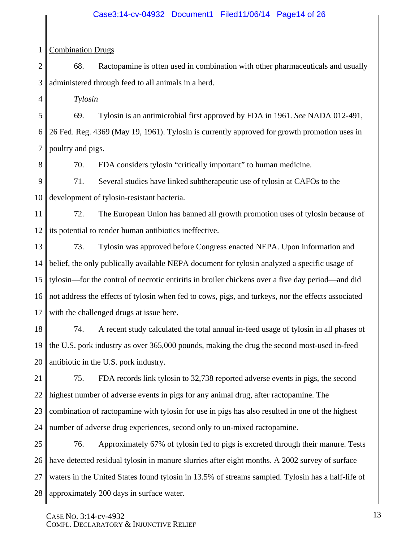#### Case3:14-cv-04932 Document1 Filed11/06/14 Page14 of 26

#### 1 Combination Drugs

2 3 68. Ractopamine is often used in combination with other pharmaceuticals and usually administered through feed to all animals in a herd.

*Tylosin* 

5 6 7 69. Tylosin is an antimicrobial first approved by FDA in 1961. *See* NADA 012-491, 26 Fed. Reg. 4369 (May 19, 1961). Tylosin is currently approved for growth promotion uses in poultry and pigs.

8

4

70. FDA considers tylosin "critically important" to human medicine.

9 10 71. Several studies have linked subtherapeutic use of tylosin at CAFOs to the development of tylosin-resistant bacteria.

11 12 72. The European Union has banned all growth promotion uses of tylosin because of its potential to render human antibiotics ineffective.

13 14 15 16 17 73. Tylosin was approved before Congress enacted NEPA. Upon information and belief, the only publically available NEPA document for tylosin analyzed a specific usage of tylosin—for the control of necrotic entiritis in broiler chickens over a five day period—and did not address the effects of tylosin when fed to cows, pigs, and turkeys, nor the effects associated with the challenged drugs at issue here.

18 19 20 74. A recent study calculated the total annual in-feed usage of tylosin in all phases of the U.S. pork industry as over 365,000 pounds, making the drug the second most-used in-feed antibiotic in the U.S. pork industry.

21 22 23 24 75. FDA records link tylosin to 32,738 reported adverse events in pigs, the second highest number of adverse events in pigs for any animal drug, after ractopamine. The combination of ractopamine with tylosin for use in pigs has also resulted in one of the highest number of adverse drug experiences, second only to un-mixed ractopamine.

25 26 27 28 76. Approximately 67% of tylosin fed to pigs is excreted through their manure. Tests have detected residual tylosin in manure slurries after eight months. A 2002 survey of surface waters in the United States found tylosin in 13.5% of streams sampled. Tylosin has a half-life of approximately 200 days in surface water.

CASE NO. 3:14-cv-4932 COMPL. DECLARATORY & INJUNCTIVE RELIEF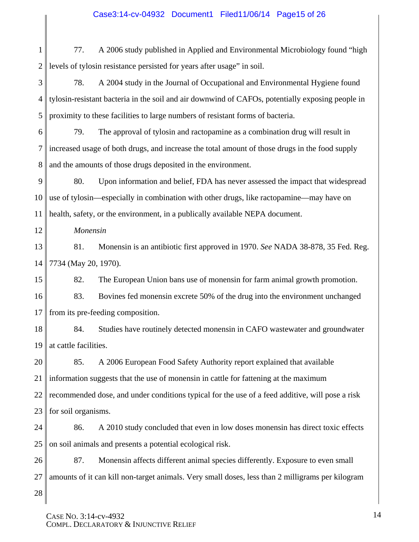# Case3:14-cv-04932 Document1 Filed11/06/14 Page15 of 26

1 2 77. A 2006 study published in Applied and Environmental Microbiology found "high levels of tylosin resistance persisted for years after usage" in soil.

3 4 5 78. A 2004 study in the Journal of Occupational and Environmental Hygiene found tylosin-resistant bacteria in the soil and air downwind of CAFOs, potentially exposing people in proximity to these facilities to large numbers of resistant forms of bacteria.

6 7 8 79. The approval of tylosin and ractopamine as a combination drug will result in increased usage of both drugs, and increase the total amount of those drugs in the food supply and the amounts of those drugs deposited in the environment.

9 10 11 80. Upon information and belief, FDA has never assessed the impact that widespread use of tylosin—especially in combination with other drugs, like ractopamine—may have on health, safety, or the environment, in a publically available NEPA document.

*Monensin* 

12

13 14 81. Monensin is an antibiotic first approved in 1970. *See* NADA 38-878, 35 Fed. Reg. 7734 (May 20, 1970).

15 82. The European Union bans use of monensin for farm animal growth promotion.

16 17 83. Bovines fed monensin excrete 50% of the drug into the environment unchanged from its pre-feeding composition.

18 19 84. Studies have routinely detected monensin in CAFO wastewater and groundwater at cattle facilities.

20 21 22 23 85. A 2006 European Food Safety Authority report explained that available information suggests that the use of monensin in cattle for fattening at the maximum recommended dose, and under conditions typical for the use of a feed additive, will pose a risk for soil organisms.

24 25 86. A 2010 study concluded that even in low doses monensin has direct toxic effects on soil animals and presents a potential ecological risk.

26 27 87. Monensin affects different animal species differently. Exposure to even small amounts of it can kill non-target animals. Very small doses, less than 2 milligrams per kilogram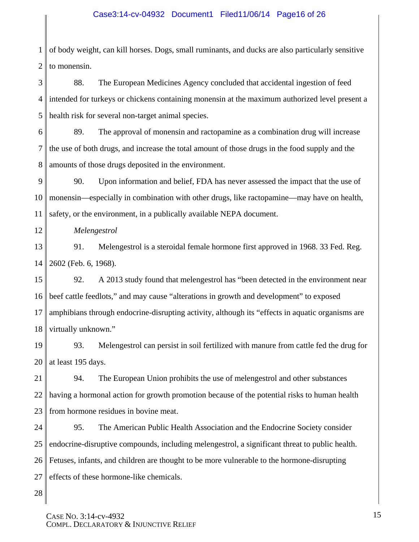## Case3:14-cv-04932 Document1 Filed11/06/14 Page16 of 26

1 2 of body weight, can kill horses. Dogs, small ruminants, and ducks are also particularly sensitive to monensin.

3 4 5 88. The European Medicines Agency concluded that accidental ingestion of feed intended for turkeys or chickens containing monensin at the maximum authorized level present a health risk for several non-target animal species.

6 7 8 89. The approval of monensin and ractopamine as a combination drug will increase the use of both drugs, and increase the total amount of those drugs in the food supply and the amounts of those drugs deposited in the environment.

9 10 11 90. Upon information and belief, FDA has never assessed the impact that the use of monensin—especially in combination with other drugs, like ractopamine—may have on health, safety, or the environment, in a publically available NEPA document.

12

*Melengestrol*

13 14 91. Melengestrol is a steroidal female hormone first approved in 1968. 33 Fed. Reg. 2602 (Feb. 6, 1968).

15 16 17 18 92. A 2013 study found that melengestrol has "been detected in the environment near beef cattle feedlots," and may cause "alterations in growth and development" to exposed amphibians through endocrine-disrupting activity, although its "effects in aquatic organisms are virtually unknown."

19 20 93. Melengestrol can persist in soil fertilized with manure from cattle fed the drug for at least 195 days.

21 22 23 94. The European Union prohibits the use of melengestrol and other substances having a hormonal action for growth promotion because of the potential risks to human health from hormone residues in bovine meat.

24 25 26 27 95. The American Public Health Association and the Endocrine Society consider endocrine-disruptive compounds, including melengestrol, a significant threat to public health. Fetuses, infants, and children are thought to be more vulnerable to the hormone-disrupting effects of these hormone-like chemicals.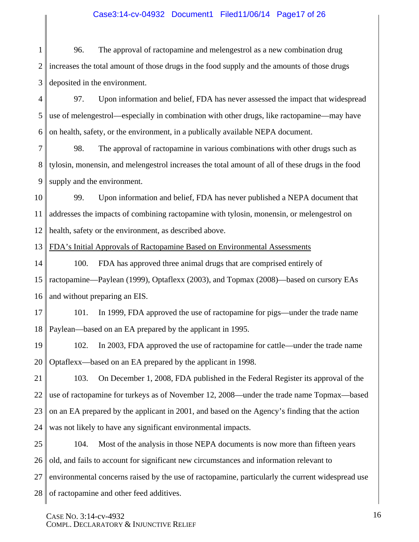# Case3:14-cv-04932 Document1 Filed11/06/14 Page17 of 26

1 2 3 96. The approval of ractopamine and melengestrol as a new combination drug increases the total amount of those drugs in the food supply and the amounts of those drugs deposited in the environment.

4 5 6 97. Upon information and belief, FDA has never assessed the impact that widespread use of melengestrol—especially in combination with other drugs, like ractopamine—may have on health, safety, or the environment, in a publically available NEPA document.

7 8 9 98. The approval of ractopamine in various combinations with other drugs such as tylosin, monensin, and melengestrol increases the total amount of all of these drugs in the food supply and the environment.

10 11 12 99. Upon information and belief, FDA has never published a NEPA document that addresses the impacts of combining ractopamine with tylosin, monensin, or melengestrol on health, safety or the environment, as described above.

13 FDA's Initial Approvals of Ractopamine Based on Environmental Assessments

14 15 16 100. FDA has approved three animal drugs that are comprised entirely of ractopamine—Paylean (1999), Optaflexx (2003), and Topmax (2008)—based on cursory EAs and without preparing an EIS.

17 18 101. In 1999, FDA approved the use of ractopamine for pigs—under the trade name Paylean—based on an EA prepared by the applicant in 1995.

19 20 102. In 2003, FDA approved the use of ractopamine for cattle—under the trade name Optaflexx—based on an EA prepared by the applicant in 1998.

21 22 23 24 103. On December 1, 2008, FDA published in the Federal Register its approval of the use of ractopamine for turkeys as of November 12, 2008—under the trade name Topmax—based on an EA prepared by the applicant in 2001, and based on the Agency's finding that the action was not likely to have any significant environmental impacts.

25 26 27 28 104. Most of the analysis in those NEPA documents is now more than fifteen years old, and fails to account for significant new circumstances and information relevant to environmental concerns raised by the use of ractopamine, particularly the current widespread use of ractopamine and other feed additives.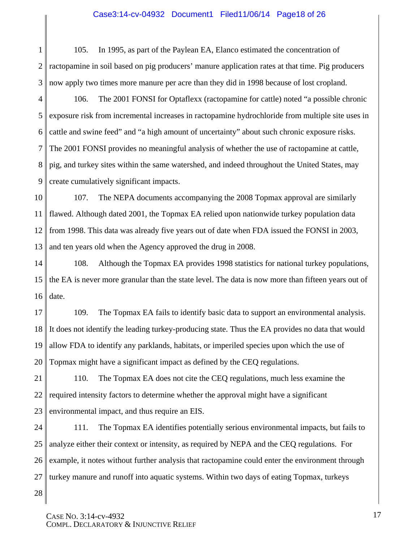#### Case3:14-cv-04932 Document1 Filed11/06/14 Page18 of 26

1 2 3 105. In 1995, as part of the Paylean EA, Elanco estimated the concentration of ractopamine in soil based on pig producers' manure application rates at that time. Pig producers now apply two times more manure per acre than they did in 1998 because of lost cropland.

4 5 6 7 8 9 106. The 2001 FONSI for Optaflexx (ractopamine for cattle) noted "a possible chronic exposure risk from incremental increases in ractopamine hydrochloride from multiple site uses in cattle and swine feed" and "a high amount of uncertainty" about such chronic exposure risks. The 2001 FONSI provides no meaningful analysis of whether the use of ractopamine at cattle, pig, and turkey sites within the same watershed, and indeed throughout the United States, may create cumulatively significant impacts.

10 11 12 13 107. The NEPA documents accompanying the 2008 Topmax approval are similarly flawed. Although dated 2001, the Topmax EA relied upon nationwide turkey population data from 1998. This data was already five years out of date when FDA issued the FONSI in 2003, and ten years old when the Agency approved the drug in 2008.

14 15 16 108. Although the Topmax EA provides 1998 statistics for national turkey populations, the EA is never more granular than the state level. The data is now more than fifteen years out of date.

17 18 19 20 109. The Topmax EA fails to identify basic data to support an environmental analysis. It does not identify the leading turkey-producing state. Thus the EA provides no data that would allow FDA to identify any parklands, habitats, or imperiled species upon which the use of Topmax might have a significant impact as defined by the CEQ regulations.

21 22 23 110. The Topmax EA does not cite the CEQ regulations, much less examine the required intensity factors to determine whether the approval might have a significant environmental impact, and thus require an EIS.

24 25 26 27 111. The Topmax EA identifies potentially serious environmental impacts, but fails to analyze either their context or intensity, as required by NEPA and the CEQ regulations. For example, it notes without further analysis that ractopamine could enter the environment through turkey manure and runoff into aquatic systems. Within two days of eating Topmax, turkeys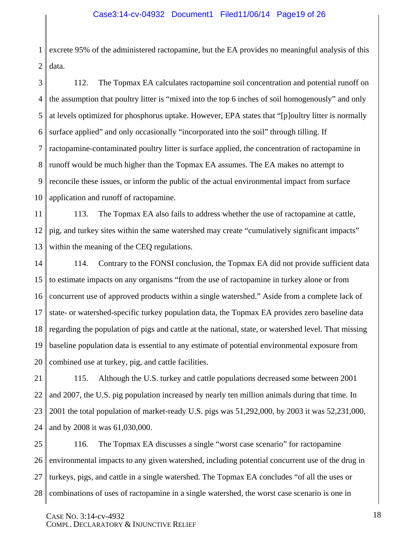1 2 excrete 95% of the administered ractopamine, but the EA provides no meaningful analysis of this data.

3 4 5 6 7 8 9 10 112. The Topmax EA calculates ractopamine soil concentration and potential runoff on the assumption that poultry litter is "mixed into the top 6 inches of soil homogenously" and only at levels optimized for phosphorus uptake. However, EPA states that "[p]oultry litter is normally surface applied" and only occasionally "incorporated into the soil" through tilling. If ractopamine-contaminated poultry litter is surface applied, the concentration of ractopamine in runoff would be much higher than the Topmax EA assumes. The EA makes no attempt to reconcile these issues, or inform the public of the actual environmental impact from surface application and runoff of ractopamine.

11 12 13 113. The Topmax EA also fails to address whether the use of ractopamine at cattle, pig, and turkey sites within the same watershed may create "cumulatively significant impacts" within the meaning of the CEQ regulations.

14 15 16 17 18 19 20 114. Contrary to the FONSI conclusion, the Topmax EA did not provide sufficient data to estimate impacts on any organisms "from the use of ractopamine in turkey alone or from concurrent use of approved products within a single watershed." Aside from a complete lack of state- or watershed-specific turkey population data, the Topmax EA provides zero baseline data regarding the population of pigs and cattle at the national, state, or watershed level. That missing baseline population data is essential to any estimate of potential environmental exposure from combined use at turkey, pig, and cattle facilities.

21 22 23 24 115. Although the U.S. turkey and cattle populations decreased some between 2001 and 2007, the U.S. pig population increased by nearly ten million animals during that time. In 2001 the total population of market-ready U.S. pigs was 51,292,000, by 2003 it was 52,231,000, and by 2008 it was 61,030,000.

25 26 27 28 116. The Topmax EA discusses a single "worst case scenario" for ractopamine environmental impacts to any given watershed, including potential concurrent use of the drug in turkeys, pigs, and cattle in a single watershed. The Topmax EA concludes "of all the uses or combinations of uses of ractopamine in a single watershed, the worst case scenario is one in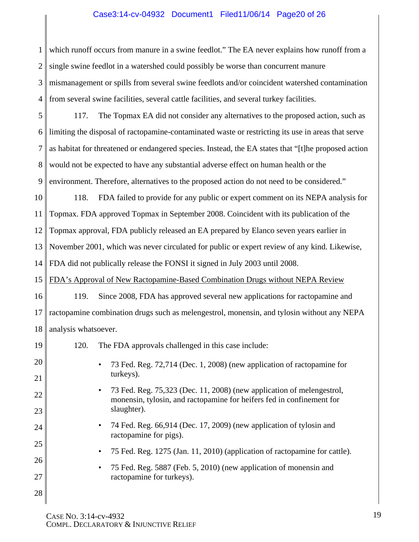# Case3:14-cv-04932 Document1 Filed11/06/14 Page20 of 26

1 2 3 4 which runoff occurs from manure in a swine feedlot." The EA never explains how runoff from a single swine feedlot in a watershed could possibly be worse than concurrent manure mismanagement or spills from several swine feedlots and/or coincident watershed contamination from several swine facilities, several cattle facilities, and several turkey facilities.

5 6 7 8 9 117. The Topmax EA did not consider any alternatives to the proposed action, such as limiting the disposal of ractopamine-contaminated waste or restricting its use in areas that serve as habitat for threatened or endangered species. Instead, the EA states that "[t]he proposed action would not be expected to have any substantial adverse effect on human health or the environment. Therefore, alternatives to the proposed action do not need to be considered."

10 11 12 13 14 118. FDA failed to provide for any public or expert comment on its NEPA analysis for Topmax. FDA approved Topmax in September 2008. Coincident with its publication of the Topmax approval, FDA publicly released an EA prepared by Elanco seven years earlier in November 2001, which was never circulated for public or expert review of any kind. Likewise, FDA did not publically release the FONSI it signed in July 2003 until 2008.

15 FDA's Approval of New Ractopamine-Based Combination Drugs without NEPA Review

16 17 18 119. Since 2008, FDA has approved several new applications for ractopamine and ractopamine combination drugs such as melengestrol, monensin, and tylosin without any NEPA analysis whatsoever.

19 20 21 22 23 24 25 26 27 28 120. The FDA approvals challenged in this case include: • 73 Fed. Reg. 72,714 (Dec. 1, 2008) (new application of ractopamine for turkeys). • 73 Fed. Reg. 75,323 (Dec. 11, 2008) (new application of melengestrol, monensin, tylosin, and ractopamine for heifers fed in confinement for slaughter). • 74 Fed. Reg. 66,914 (Dec. 17, 2009) (new application of tylosin and ractopamine for pigs). • 75 Fed. Reg. 1275 (Jan. 11, 2010) (application of ractopamine for cattle). • 75 Fed. Reg. 5887 (Feb. 5, 2010) (new application of monensin and ractopamine for turkeys).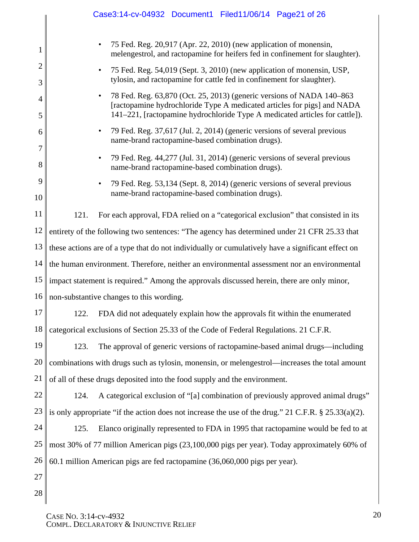|                     | Case3:14-cv-04932 Document1 Filed11/06/14 Page21 of 26                                                                                                                                                                          |  |  |  |  |
|---------------------|---------------------------------------------------------------------------------------------------------------------------------------------------------------------------------------------------------------------------------|--|--|--|--|
| 1                   | 75 Fed. Reg. 20,917 (Apr. 22, 2010) (new application of monensin,<br>$\bullet$<br>melengestrol, and ractopamine for heifers fed in confinement for slaughter).                                                                  |  |  |  |  |
| $\overline{c}$<br>3 | 75 Fed. Reg. 54,019 (Sept. 3, 2010) (new application of monensin, USP,<br>٠<br>tylosin, and ractopamine for cattle fed in confinement for slaughter).                                                                           |  |  |  |  |
| $\overline{4}$<br>5 | 78 Fed. Reg. 63,870 (Oct. 25, 2013) (generic versions of NADA 140–863<br>[ractopamine hydrochloride Type A medicated articles for pigs] and NADA<br>141-221, [ractopamine hydrochloride Type A medicated articles for cattle]). |  |  |  |  |
| 6                   | 79 Fed. Reg. 37,617 (Jul. 2, 2014) (generic versions of several previous<br>٠<br>name-brand ractopamine-based combination drugs).                                                                                               |  |  |  |  |
| 7<br>8              | 79 Fed. Reg. 44,277 (Jul. 31, 2014) (generic versions of several previous<br>٠<br>name-brand ractopamine-based combination drugs).                                                                                              |  |  |  |  |
| 9<br>10             | 79 Fed. Reg. 53,134 (Sept. 8, 2014) (generic versions of several previous<br>٠<br>name-brand ractopamine-based combination drugs).                                                                                              |  |  |  |  |
| 11                  | 121.<br>For each approval, FDA relied on a "categorical exclusion" that consisted in its                                                                                                                                        |  |  |  |  |
| 12                  | entirety of the following two sentences: "The agency has determined under 21 CFR 25.33 that                                                                                                                                     |  |  |  |  |
| 13                  | these actions are of a type that do not individually or cumulatively have a significant effect on                                                                                                                               |  |  |  |  |
| 14                  | the human environment. Therefore, neither an environmental assessment nor an environmental                                                                                                                                      |  |  |  |  |
| 15                  | impact statement is required." Among the approvals discussed herein, there are only minor,                                                                                                                                      |  |  |  |  |
| 16                  | non-substantive changes to this wording.                                                                                                                                                                                        |  |  |  |  |
| 17                  | FDA did not adequately explain how the approvals fit within the enumerated<br>122.                                                                                                                                              |  |  |  |  |
| 18                  | categorical exclusions of Section 25.33 of the Code of Federal Regulations. 21 C.F.R.                                                                                                                                           |  |  |  |  |
| 19                  | 123.<br>The approval of generic versions of ractopamine-based animal drugs—including                                                                                                                                            |  |  |  |  |
| 20                  | combinations with drugs such as tylosin, monensin, or melengestrol—increases the total amount                                                                                                                                   |  |  |  |  |
| 21                  | of all of these drugs deposited into the food supply and the environment.                                                                                                                                                       |  |  |  |  |
| 22                  | A categorical exclusion of "[a] combination of previously approved animal drugs"<br>124.                                                                                                                                        |  |  |  |  |
| 23                  | is only appropriate "if the action does not increase the use of the drug." 21 C.F.R. $\S 25.33(a)(2)$ .                                                                                                                         |  |  |  |  |
| 24                  | Elanco originally represented to FDA in 1995 that ractopamine would be fed to at<br>125.                                                                                                                                        |  |  |  |  |
| 25                  | most 30% of 77 million American pigs (23,100,000 pigs per year). Today approximately 60% of                                                                                                                                     |  |  |  |  |
| 26                  | 60.1 million American pigs are fed ractopamine (36,060,000 pigs per year).                                                                                                                                                      |  |  |  |  |
| 27                  |                                                                                                                                                                                                                                 |  |  |  |  |
| 28                  |                                                                                                                                                                                                                                 |  |  |  |  |

CASE NO. 3:14-cv-4932 COMPL. DECLARATORY & INJUNCTIVE RELIEF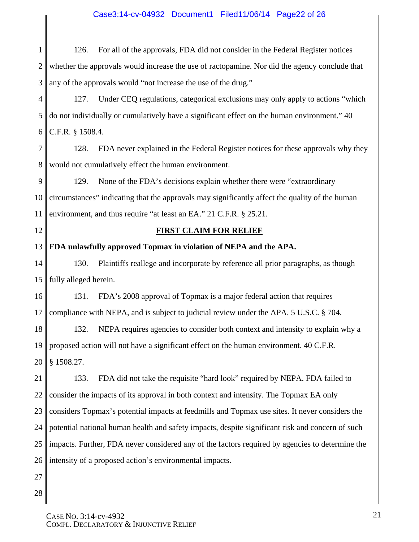## Case3:14-cv-04932 Document1 Filed11/06/14 Page22 of 26

1 2 3 126. For all of the approvals, FDA did not consider in the Federal Register notices whether the approvals would increase the use of ractopamine. Nor did the agency conclude that any of the approvals would "not increase the use of the drug."

4 5 6 127. Under CEQ regulations, categorical exclusions may only apply to actions "which do not individually or cumulatively have a significant effect on the human environment." 40 C.F.R. § 1508.4.

7 8 128. FDA never explained in the Federal Register notices for these approvals why they would not cumulatively effect the human environment.

9 10 11 129. None of the FDA's decisions explain whether there were "extraordinary circumstances" indicating that the approvals may significantly affect the quality of the human environment, and thus require "at least an EA." 21 C.F.R. § 25.21.

12

## **FIRST CLAIM FOR RELIEF**

13 **FDA unlawfully approved Topmax in violation of NEPA and the APA.** 

14 15 130. Plaintiffs reallege and incorporate by reference all prior paragraphs, as though fully alleged herein.

16 17 131. FDA's 2008 approval of Topmax is a major federal action that requires compliance with NEPA, and is subject to judicial review under the APA. 5 U.S.C. § 704.

18 19 20 132. NEPA requires agencies to consider both context and intensity to explain why a proposed action will not have a significant effect on the human environment. 40 C.F.R. § 1508.27.

21 22 23 24 25 26 133. FDA did not take the requisite "hard look" required by NEPA. FDA failed to consider the impacts of its approval in both context and intensity. The Topmax EA only considers Topmax's potential impacts at feedmills and Topmax use sites. It never considers the potential national human health and safety impacts, despite significant risk and concern of such impacts. Further, FDA never considered any of the factors required by agencies to determine the intensity of a proposed action's environmental impacts.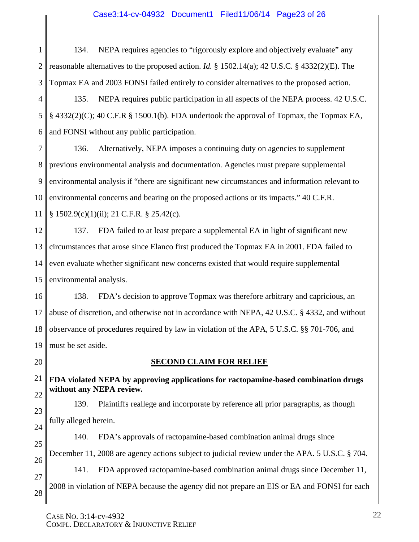#### Case3:14-cv-04932 Document1 Filed11/06/14 Page23 of 26

1 2 3 134. NEPA requires agencies to "rigorously explore and objectively evaluate" any reasonable alternatives to the proposed action. *Id.* § 1502.14(a); 42 U.S.C. § 4332(2)(E). The Topmax EA and 2003 FONSI failed entirely to consider alternatives to the proposed action.

4 5 6 135. NEPA requires public participation in all aspects of the NEPA process. 42 U.S.C. § 4332(2)(C); 40 C.F.R § 1500.1(b). FDA undertook the approval of Topmax, the Topmax EA, and FONSI without any public participation.

7 8 9 10 11 136. Alternatively, NEPA imposes a continuing duty on agencies to supplement previous environmental analysis and documentation. Agencies must prepare supplemental environmental analysis if "there are significant new circumstances and information relevant to environmental concerns and bearing on the proposed actions or its impacts." 40 C.F.R. § 1502.9(c)(1)(ii); 21 C.F.R. § 25.42(c).

12 13 14 15 137. FDA failed to at least prepare a supplemental EA in light of significant new circumstances that arose since Elanco first produced the Topmax EA in 2001. FDA failed to even evaluate whether significant new concerns existed that would require supplemental environmental analysis.

16 17 18 19 138. FDA's decision to approve Topmax was therefore arbitrary and capricious, an abuse of discretion, and otherwise not in accordance with NEPA, 42 U.S.C. § 4332, and without observance of procedures required by law in violation of the APA, 5 U.S.C. §§ 701-706, and must be set aside.

20

#### **SECOND CLAIM FOR RELIEF**

21 22 **FDA violated NEPA by approving applications for ractopamine-based combination drugs without any NEPA review.** 

23 24 139. Plaintiffs reallege and incorporate by reference all prior paragraphs, as though fully alleged herein.

25 26 140. FDA's approvals of ractopamine-based combination animal drugs since December 11, 2008 are agency actions subject to judicial review under the APA. 5 U.S.C. § 704.

27 28 141. FDA approved ractopamine-based combination animal drugs since December 11, 2008 in violation of NEPA because the agency did not prepare an EIS or EA and FONSI for each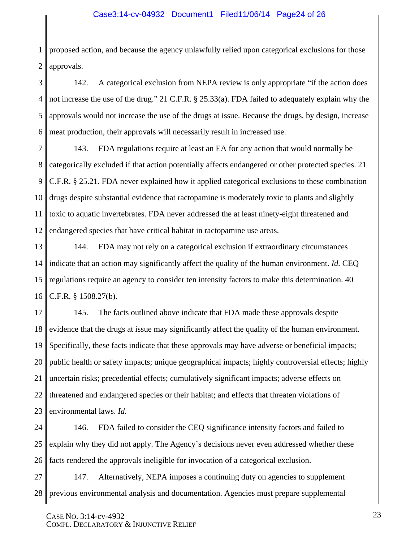#### Case3:14-cv-04932 Document1 Filed11/06/14 Page24 of 26

1 2 proposed action, and because the agency unlawfully relied upon categorical exclusions for those approvals.

3 4 5 6 142. A categorical exclusion from NEPA review is only appropriate "if the action does not increase the use of the drug." 21 C.F.R. § 25.33(a). FDA failed to adequately explain why the approvals would not increase the use of the drugs at issue. Because the drugs, by design, increase meat production, their approvals will necessarily result in increased use.

7 8 9 10 11 12 143. FDA regulations require at least an EA for any action that would normally be categorically excluded if that action potentially affects endangered or other protected species. 21 C.F.R. § 25.21. FDA never explained how it applied categorical exclusions to these combination drugs despite substantial evidence that ractopamine is moderately toxic to plants and slightly toxic to aquatic invertebrates. FDA never addressed the at least ninety-eight threatened and endangered species that have critical habitat in ractopamine use areas.

13 14 15 16 144. FDA may not rely on a categorical exclusion if extraordinary circumstances indicate that an action may significantly affect the quality of the human environment. *Id.* CEQ regulations require an agency to consider ten intensity factors to make this determination. 40 C.F.R. § 1508.27(b).

17 18 19 20 21 22 23 145. The facts outlined above indicate that FDA made these approvals despite evidence that the drugs at issue may significantly affect the quality of the human environment. Specifically, these facts indicate that these approvals may have adverse or beneficial impacts; public health or safety impacts; unique geographical impacts; highly controversial effects; highly uncertain risks; precedential effects; cumulatively significant impacts; adverse effects on threatened and endangered species or their habitat; and effects that threaten violations of environmental laws. *Id.*

24 25 26 146. FDA failed to consider the CEQ significance intensity factors and failed to explain why they did not apply. The Agency's decisions never even addressed whether these facts rendered the approvals ineligible for invocation of a categorical exclusion.

27 28 147. Alternatively, NEPA imposes a continuing duty on agencies to supplement previous environmental analysis and documentation. Agencies must prepare supplemental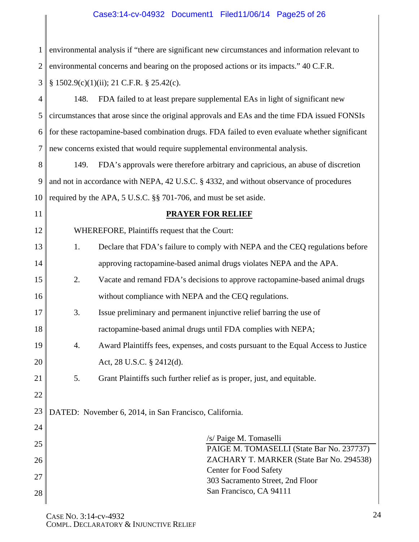# Case3:14-cv-04932 Document1 Filed11/06/14 Page25 of 26

| 1              | environmental analysis if "there are significant new circumstances and information relevant to |  |  |  |  |
|----------------|------------------------------------------------------------------------------------------------|--|--|--|--|
| $\overline{2}$ | environmental concerns and bearing on the proposed actions or its impacts." 40 C.F.R.          |  |  |  |  |
| 3              | $§ 1502.9(c)(1)(ii); 21 C.F.R. § 25.42(c).$                                                    |  |  |  |  |
| 4              | 148.<br>FDA failed to at least prepare supplemental EAs in light of significant new            |  |  |  |  |
| 5              | circumstances that arose since the original approvals and EAs and the time FDA issued FONSIs   |  |  |  |  |
| 6              | for these ractopamine-based combination drugs. FDA failed to even evaluate whether significant |  |  |  |  |
| 7              | new concerns existed that would require supplemental environmental analysis.                   |  |  |  |  |
| 8              | FDA's approvals were therefore arbitrary and capricious, an abuse of discretion<br>149.        |  |  |  |  |
| 9              | and not in accordance with NEPA, 42 U.S.C. § 4332, and without observance of procedures        |  |  |  |  |
| 10             | required by the APA, 5 U.S.C. §§ 701-706, and must be set aside.                               |  |  |  |  |
| 11             | <b>PRAYER FOR RELIEF</b>                                                                       |  |  |  |  |
| 12             | WHEREFORE, Plaintiffs request that the Court:                                                  |  |  |  |  |
| 13             | Declare that FDA's failure to comply with NEPA and the CEQ regulations before<br>1.            |  |  |  |  |
| 14             | approving ractopamine-based animal drugs violates NEPA and the APA.                            |  |  |  |  |
| 15             | 2.<br>Vacate and remand FDA's decisions to approve ractopamine-based animal drugs              |  |  |  |  |
| 16             | without compliance with NEPA and the CEQ regulations.                                          |  |  |  |  |
| 17             | 3.<br>Issue preliminary and permanent injunctive relief barring the use of                     |  |  |  |  |
| 18             | ractopamine-based animal drugs until FDA complies with NEPA;                                   |  |  |  |  |
| 19             | Award Plaintiffs fees, expenses, and costs pursuant to the Equal Access to Justice<br>4.       |  |  |  |  |
| 20             | Act, 28 U.S.C. § 2412(d).                                                                      |  |  |  |  |
| 21             | 5.<br>Grant Plaintiffs such further relief as is proper, just, and equitable.                  |  |  |  |  |
| 22             |                                                                                                |  |  |  |  |
| 23             | DATED: November 6, 2014, in San Francisco, California.                                         |  |  |  |  |
| 24             |                                                                                                |  |  |  |  |
| 25             | /s/ Paige M. Tomaselli<br>PAIGE M. TOMASELLI (State Bar No. 237737)                            |  |  |  |  |
| 26             | ZACHARY T. MARKER (State Bar No. 294538)                                                       |  |  |  |  |
| 27             | Center for Food Safety<br>303 Sacramento Street, 2nd Floor                                     |  |  |  |  |
| 28             | San Francisco, CA 94111                                                                        |  |  |  |  |